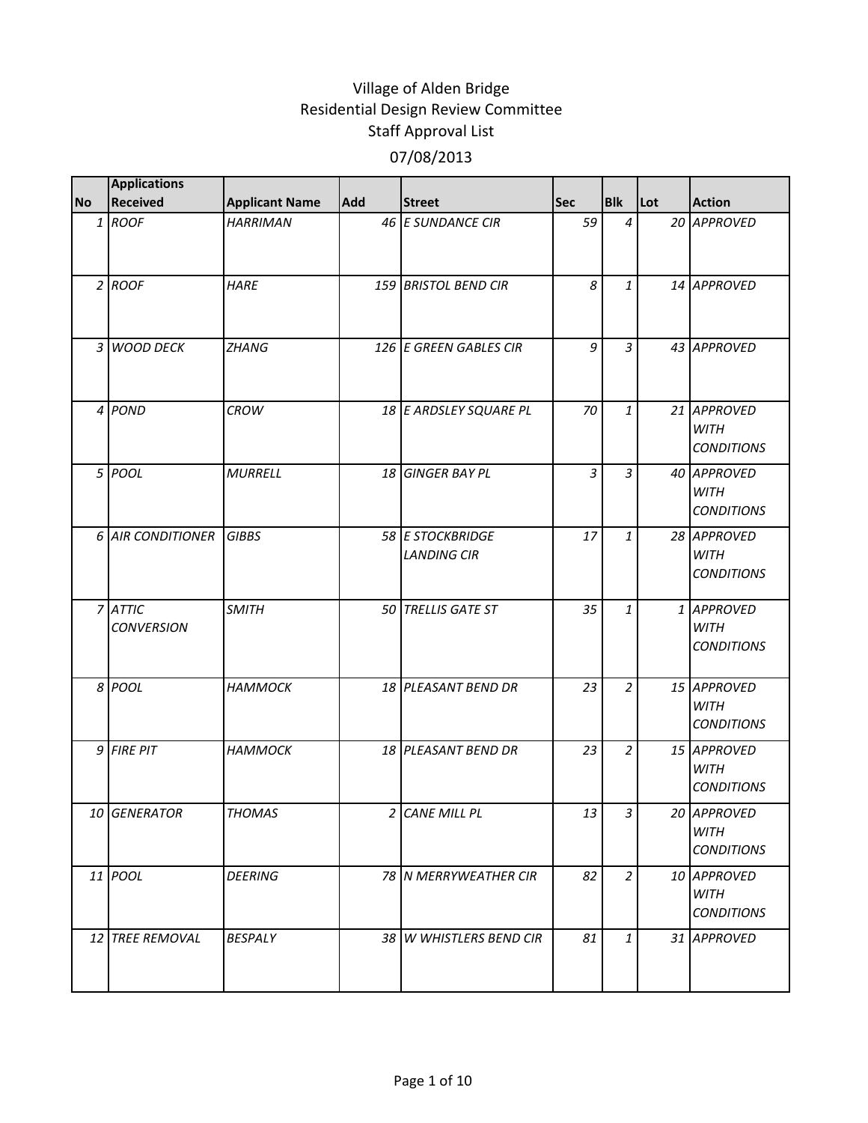| No | <b>Applications</b><br><b>Received</b> | <b>Applicant Name</b> | <b>Add</b> | <b>Street</b>                          | <b>Sec</b> | <b>Blk</b>     | Lot | <b>Action</b>                                   |
|----|----------------------------------------|-----------------------|------------|----------------------------------------|------------|----------------|-----|-------------------------------------------------|
|    | 1 ROOF                                 | <b>HARRIMAN</b>       |            | 46 E SUNDANCE CIR                      | 59         | $\overline{4}$ |     | 20 APPROVED                                     |
|    | $2$ ROOF                               | <b>HARE</b>           |            | <b>159 BRISTOL BEND CIR</b>            | 8          | $\mathbf{1}$   |     | 14 APPROVED                                     |
|    | 3 WOOD DECK                            | <b>ZHANG</b>          |            | 126 E GREEN GABLES CIR                 | 9          | 3              |     | 43 APPROVED                                     |
|    | 4 POND                                 | <b>CROW</b>           |            | 18 E ARDSLEY SQUARE PL                 | 70         | 1              |     | 21 APPROVED<br><b>WITH</b><br><b>CONDITIONS</b> |
|    | 5 POOL                                 | <b>MURRELL</b>        |            | 18 GINGER BAY PL                       | 3          | $\overline{3}$ |     | 40 APPROVED<br><b>WITH</b><br><b>CONDITIONS</b> |
|    | <b>6 AIR CONDITIONER</b>               | <b>GIBBS</b>          |            | 58 E STOCKBRIDGE<br><b>LANDING CIR</b> | 17         | $\mathbf{1}$   |     | 28 APPROVED<br><b>WITH</b><br><b>CONDITIONS</b> |
|    | 7 ATTIC<br><b>CONVERSION</b>           | <b>SMITH</b>          |            | 50 TRELLIS GATE ST                     | 35         | $\mathbf{1}$   |     | 1 APPROVED<br><b>WITH</b><br><b>CONDITIONS</b>  |
|    | 8 POOL                                 | <b>HAMMOCK</b>        |            | 18 PLEASANT BEND DR                    | 23         | $\overline{a}$ |     | 15 APPROVED<br><b>WITH</b><br><b>CONDITIONS</b> |
|    | 9 FIRE PIT                             | <b>НАММОСК</b>        |            | 18 PLEASANT BEND DR                    | 23         | $\overline{a}$ |     | 15 APPROVED<br><b>WITH</b><br><b>CONDITIONS</b> |
|    | 10 GENERATOR                           | <b>THOMAS</b>         |            | 2 CANE MILL PL                         | 13         | $\overline{3}$ |     | 20 APPROVED<br><b>WITH</b><br><b>CONDITIONS</b> |
|    | 11 POOL                                | <b>DEERING</b>        |            | 78 N MERRYWEATHER CIR                  | 82         | $\overline{a}$ |     | 10 APPROVED<br><b>WITH</b><br><b>CONDITIONS</b> |
|    | 12 TREE REMOVAL                        | <b>BESPALY</b>        |            | 38 W WHISTLERS BEND CIR                | 81         | $\mathbf{1}$   |     | 31 APPROVED                                     |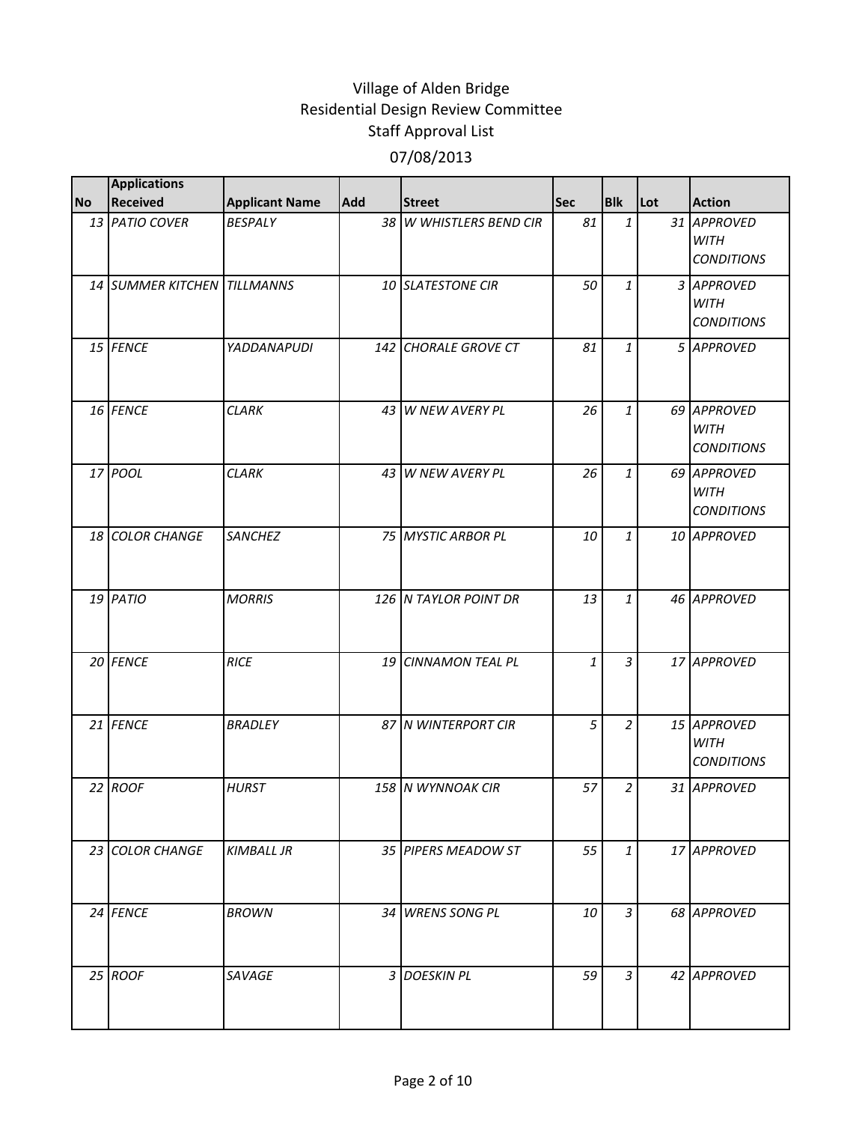|           | <b>Applications</b>         |                       |            |                         |            |                |     |                                                 |
|-----------|-----------------------------|-----------------------|------------|-------------------------|------------|----------------|-----|-------------------------------------------------|
| <b>No</b> | <b>Received</b>             | <b>Applicant Name</b> | <b>Add</b> | <b>Street</b>           | <b>Sec</b> | <b>Blk</b>     | Lot | <b>Action</b>                                   |
|           | 13 PATIO COVER              | <b>BESPALY</b>        |            | 38 W WHISTLERS BEND CIR | 81         | $\mathbf{1}$   |     | 31 APPROVED<br><b>WITH</b><br><b>CONDITIONS</b> |
|           | 14 SUMMER KITCHEN TILLMANNS |                       |            | 10 SLATESTONE CIR       | 50         | $\mathbf{1}$   |     | 3 APPROVED<br><b>WITH</b><br><b>CONDITIONS</b>  |
|           | 15 FENCE                    | <b>YADDANAPUDI</b>    |            | 142 CHORALE GROVE CT    | 81         | $\mathbf{1}$   |     | 5 APPROVED                                      |
|           | 16 FENCE                    | <b>CLARK</b>          |            | 43 W NEW AVERY PL       | 26         | $\mathbf{1}$   |     | 69 APPROVED<br><b>WITH</b><br><b>CONDITIONS</b> |
|           | 17 POOL                     | <b>CLARK</b>          |            | 43 W NEW AVERY PL       | 26         | $\mathbf{1}$   |     | 69 APPROVED<br><b>WITH</b><br><b>CONDITIONS</b> |
|           | 18 COLOR CHANGE             | <b>SANCHEZ</b>        |            | 75 MYSTIC ARBOR PL      | 10         | $\mathbf{1}$   |     | 10 APPROVED                                     |
|           | 19 PATIO                    | <b>MORRIS</b>         |            | 126 N TAYLOR POINT DR   | 13         | $\mathbf{1}$   |     | 46 APPROVED                                     |
|           | 20 FENCE                    | <b>RICE</b>           |            | 19 CINNAMON TEAL PL     | 1          | $\overline{3}$ |     | 17 APPROVED                                     |
|           | 21 FENCE                    | <b>BRADLEY</b>        |            | 87 N WINTERPORT CIR     | 5          | $\overline{2}$ |     | 15 APPROVED<br><b>WITH</b><br><b>CONDITIONS</b> |
|           | 22 ROOF                     | <b>HURST</b>          |            | 158 N WYNNOAK CIR       | 57         | $\overline{2}$ |     | 31 APPROVED                                     |
|           | 23 COLOR CHANGE             | <b>KIMBALL JR</b>     |            | 35 PIPERS MEADOW ST     | 55         | $\mathbf{1}$   |     | 17 APPROVED                                     |
|           | 24 FENCE                    | <b>BROWN</b>          |            | 34 WRENS SONG PL        | 10         | $\overline{3}$ |     | 68 APPROVED                                     |
|           | 25 ROOF                     | SAVAGE                |            | 3 DOESKIN PL            | 59         | 3              |     | 42 APPROVED                                     |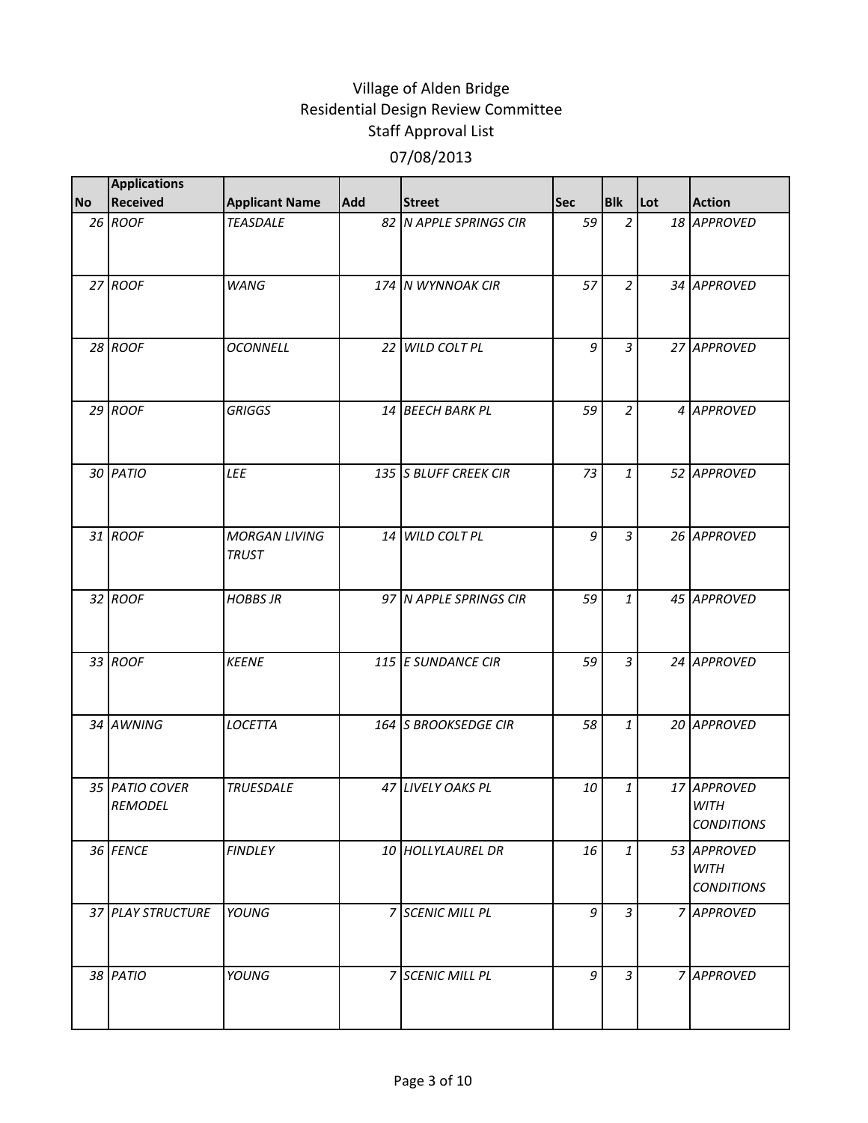|           | <b>Applications</b>              |                                      |     |                        |            |                |     |                                                 |
|-----------|----------------------------------|--------------------------------------|-----|------------------------|------------|----------------|-----|-------------------------------------------------|
| <b>No</b> | <b>Received</b>                  | <b>Applicant Name</b>                | Add | <b>Street</b>          | <b>Sec</b> | <b>Blk</b>     | Lot | <b>Action</b>                                   |
|           | 26 ROOF                          | <b>TEASDALE</b>                      |     | 82 N APPLE SPRINGS CIR | 59         | $\overline{2}$ |     | 18 APPROVED                                     |
|           | 27 ROOF                          | <b>WANG</b>                          |     | 174 N WYNNOAK CIR      | 57         | $\overline{a}$ |     | 34 APPROVED                                     |
|           | 28 ROOF                          | <b>OCONNELL</b>                      |     | 22 WILD COLT PL        | 9          | 3              |     | 27 APPROVED                                     |
|           | $29$ ROOF                        | <b>GRIGGS</b>                        |     | 14 BEECH BARK PL       | 59         | $\overline{2}$ |     | 4 APPROVED                                      |
|           | 30 PATIO                         | LEE                                  |     | 135 S BLUFF CREEK CIR  | 73         | $\mathbf{1}$   |     | 52 APPROVED                                     |
|           | 31 ROOF                          | <b>MORGAN LIVING</b><br><b>TRUST</b> |     | 14 WILD COLT PL        | 9          | $\overline{3}$ |     | 26 APPROVED                                     |
|           | 32 ROOF                          | <b>HOBBS JR</b>                      |     | 97 N APPLE SPRINGS CIR | 59         | $\mathbf{1}$   |     | 45 APPROVED                                     |
|           | 33 ROOF                          | <b>KEENE</b>                         |     | 115 E SUNDANCE CIR     | 59         | $\overline{3}$ |     | 24 APPROVED                                     |
|           | 34 AWNING                        | LOCETTA                              |     | 164 S BROOKSEDGE CIR   | 58         | $\mathbf{1}$   |     | 20 APPROVED                                     |
|           | 35 PATIO COVER<br><b>REMODEL</b> | <b>TRUESDALE</b>                     |     | 47 LIVELY OAKS PL      | 10         | $\mathbf{1}$   |     | 17 APPROVED<br><b>WITH</b><br><b>CONDITIONS</b> |
|           | 36 FENCE                         | <b>FINDLEY</b>                       |     | 10 HOLLYLAUREL DR      | 16         | $\mathbf{1}$   |     | 53 APPROVED<br><b>WITH</b><br><b>CONDITIONS</b> |
|           | 37 PLAY STRUCTURE                | YOUNG                                |     | 7 SCENIC MILL PL       | 9          | $\overline{3}$ |     | 7 APPROVED                                      |
|           | 38 PATIO                         | YOUNG                                |     | 7 SCENIC MILL PL       | 9          | 3              |     | 7 APPROVED                                      |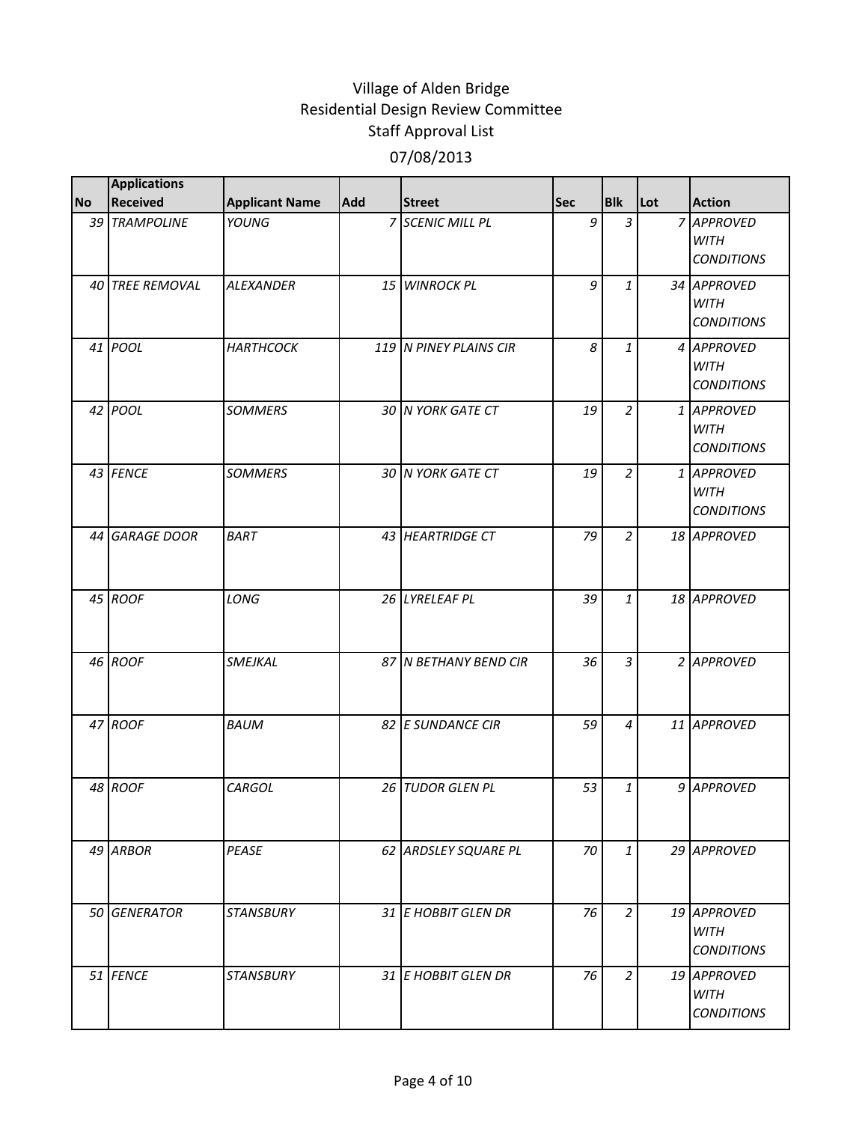|           | <b>Applications</b> |                       |     |                        |            |                |     |                                                 |
|-----------|---------------------|-----------------------|-----|------------------------|------------|----------------|-----|-------------------------------------------------|
| <b>No</b> | Received            | <b>Applicant Name</b> | Add | <b>Street</b>          | <b>Sec</b> | <b>Blk</b>     | Lot | <b>Action</b>                                   |
|           | 39 TRAMPOLINE       | YOUNG                 |     | 7 SCENIC MILL PL       | 9          | $\overline{3}$ |     | 7 APPROVED<br><b>WITH</b><br><b>CONDITIONS</b>  |
|           | 40 TREE REMOVAL     | <b>ALEXANDER</b>      |     | 15 WINROCK PL          | 9          | $\mathbf{1}$   |     | 34 APPROVED<br><b>WITH</b><br><b>CONDITIONS</b> |
|           | 41 POOL             | <b>HARTHCOCK</b>      |     | 119 N PINEY PLAINS CIR | 8          | $\mathbf{1}$   |     | 4 APPROVED<br><b>WITH</b><br><b>CONDITIONS</b>  |
|           | 42 POOL             | <b>SOMMERS</b>        |     | 30 N YORK GATE CT      | 19         | $\overline{a}$ |     | 1 APPROVED<br><b>WITH</b><br><b>CONDITIONS</b>  |
|           | 43 FENCE            | <b>SOMMERS</b>        |     | 30 N YORK GATE CT      | 19         | $\overline{2}$ |     | 1 APPROVED<br><b>WITH</b><br><b>CONDITIONS</b>  |
|           | 44 GARAGE DOOR      | <b>BART</b>           |     | 43 HEARTRIDGE CT       | 79         | $\overline{a}$ |     | 18 APPROVED                                     |
|           | 45 ROOF             | LONG                  |     | 26 LYRELEAF PL         | 39         | $\mathbf{1}$   |     | 18 APPROVED                                     |
|           | 46 ROOF             | SMEJKAL               |     | 87 N BETHANY BEND CIR  | 36         | $\overline{3}$ |     | 2 APPROVED                                      |
|           | 47 ROOF             | <b>BAUM</b>           |     | 82 E SUNDANCE CIR      | 59         | 4              |     | 11 APPROVED                                     |
|           | 48 ROOF             | CARGOL                |     | 26 TUDOR GLEN PL       | 53         | $\mathbf{1}$   |     | 9 APPROVED                                      |
|           | 49 ARBOR            | PEASE                 |     | 62 ARDSLEY SQUARE PL   | 70         | $\mathbf{1}$   |     | 29 APPROVED                                     |
|           | 50 GENERATOR        | <b>STANSBURY</b>      |     | 31 E HOBBIT GLEN DR    | 76         | $\overline{a}$ |     | 19 APPROVED<br><b>WITH</b><br><b>CONDITIONS</b> |
|           | 51 FENCE            | <b>STANSBURY</b>      |     | 31 E HOBBIT GLEN DR    | 76         | $\overline{a}$ |     | 19 APPROVED<br><b>WITH</b><br><b>CONDITIONS</b> |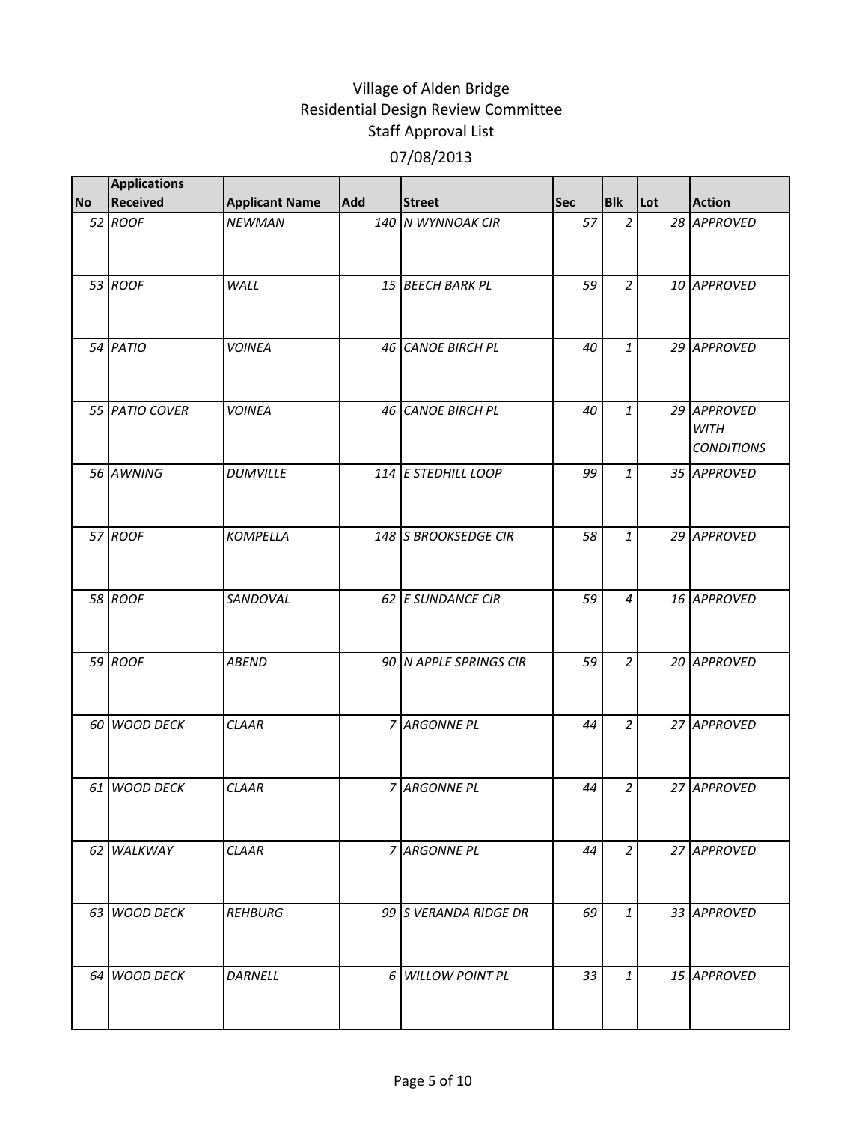|           | <b>Applications</b> |                       |     |                        |     |                |     |                                                 |
|-----------|---------------------|-----------------------|-----|------------------------|-----|----------------|-----|-------------------------------------------------|
| <b>No</b> | Received            | <b>Applicant Name</b> | Add | <b>Street</b>          | Sec | <b>Blk</b>     | Lot | <b>Action</b>                                   |
|           | 52 ROOF             | <b>NEWMAN</b>         |     | 140 N WYNNOAK CIR      | 57  | $\overline{2}$ |     | 28 APPROVED                                     |
|           | 53 ROOF             | WALL                  |     | 15 BEECH BARK PL       | 59  | $\overline{a}$ |     | 10 APPROVED                                     |
|           | 54 PATIO            | <b>VOINEA</b>         |     | 46 CANOE BIRCH PL      | 40  | $\mathbf{1}$   |     | 29 APPROVED                                     |
|           | 55 PATIO COVER      | <b>VOINEA</b>         |     | 46 CANOE BIRCH PL      | 40  | $\mathbf{1}$   |     | 29 APPROVED<br><b>WITH</b><br><b>CONDITIONS</b> |
|           | 56 AWNING           | <b>DUMVILLE</b>       |     | 114 E STEDHILL LOOP    | 99  | $\mathbf{1}$   |     | 35 APPROVED                                     |
|           | 57 ROOF             | <b>KOMPELLA</b>       |     | 148 S BROOKSEDGE CIR   | 58  | $\mathbf{1}$   |     | 29 APPROVED                                     |
|           | 58 ROOF             | SANDOVAL              |     | 62 E SUNDANCE CIR      | 59  | $\overline{4}$ |     | 16 APPROVED                                     |
|           | 59 ROOF             | <b>ABEND</b>          |     | 90 N APPLE SPRINGS CIR | 59  | $\overline{a}$ |     | 20 APPROVED                                     |
|           | 60 WOOD DECK        | <b>CLAAR</b>          |     | 7 ARGONNE PL           | 44  | $\overline{a}$ |     | 27 APPROVED                                     |
|           | 61 WOOD DECK        | <b>CLAAR</b>          |     | 7 ARGONNE PL           | 44  | $\overline{a}$ |     | 27 APPROVED                                     |
|           | 62 WALKWAY          | <b>CLAAR</b>          |     | 7 ARGONNE PL           | 44  | $\overline{a}$ |     | 27 APPROVED                                     |
|           | 63 WOOD DECK        | <b>REHBURG</b>        |     | 99 S VERANDA RIDGE DR  | 69  | $\mathbf{1}$   |     | 33 APPROVED                                     |
|           | 64 WOOD DECK        | <b>DARNELL</b>        |     | 6 WILLOW POINT PL      | 33  | $\mathbf{1}$   |     | 15 APPROVED                                     |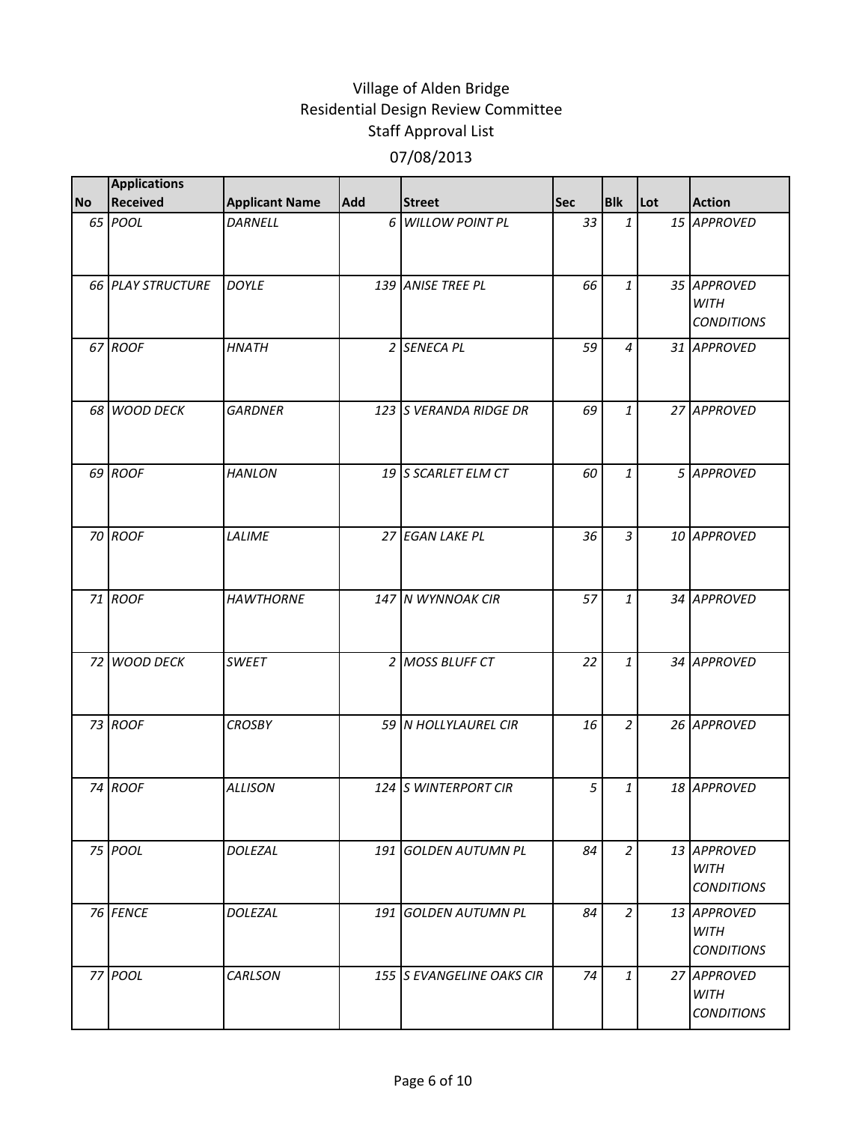|           | <b>Applications</b>      |                       |            |                           |            |                |     |                                                 |
|-----------|--------------------------|-----------------------|------------|---------------------------|------------|----------------|-----|-------------------------------------------------|
| <b>No</b> | <b>Received</b>          | <b>Applicant Name</b> | <b>Add</b> | <b>Street</b>             | <b>Sec</b> | <b>Blk</b>     | Lot | <b>Action</b>                                   |
|           | 65 POOL                  | DARNELL               |            | 6 WILLOW POINT PL         | 33         | $\mathbf{1}$   |     | 15 APPROVED                                     |
|           | <b>66 PLAY STRUCTURE</b> | <b>DOYLE</b>          |            | 139 ANISE TREE PL         | 66         | $\mathbf{1}$   |     | 35 APPROVED<br><b>WITH</b><br><b>CONDITIONS</b> |
|           | 67 ROOF                  | <b>HNATH</b>          |            | 2 SENECA PL               | 59         | $\overline{4}$ |     | 31 APPROVED                                     |
|           | 68 WOOD DECK             | <b>GARDNER</b>        |            | 123 S VERANDA RIDGE DR    | 69         | $\mathbf{1}$   |     | 27 APPROVED                                     |
|           | 69 ROOF                  | <b>HANLON</b>         |            | 19 S SCARLET ELM CT       | 60         | $\mathbf{1}$   |     | 5 APPROVED                                      |
|           | 70 ROOF                  | LALIME                |            | 27 EGAN LAKE PL           | 36         | $\overline{3}$ |     | 10 APPROVED                                     |
|           | 71 ROOF                  | <b>HAWTHORNE</b>      |            | 147 N WYNNOAK CIR         | 57         | $\mathbf{1}$   |     | 34 APPROVED                                     |
|           | 72 WOOD DECK             | <b>SWEET</b>          |            | 2 MOSS BLUFF CT           | 22         | $\mathbf{1}$   |     | 34 APPROVED                                     |
|           | 73 ROOF                  | <b>CROSBY</b>         |            | 59 N HOLLYLAUREL CIR      | 16         | $\overline{2}$ |     | 26 APPROVED                                     |
|           | 74 ROOF                  | <b>ALLISON</b>        |            | 124 S WINTERPORT CIR      | 5          | $\mathbf{1}$   |     | 18 APPROVED                                     |
|           | 75 POOL                  | DOLEZAL               |            | 191 GOLDEN AUTUMN PL      | 84         | $\overline{a}$ |     | 13 APPROVED<br><b>WITH</b><br><b>CONDITIONS</b> |
|           | 76 FENCE                 | DOLEZAL               |            | 191 GOLDEN AUTUMN PL      | 84         | $\overline{a}$ |     | 13 APPROVED<br><b>WITH</b><br><b>CONDITIONS</b> |
|           | 77 POOL                  | CARLSON               |            | 155 S EVANGELINE OAKS CIR | 74         | $\mathbf{1}$   |     | 27 APPROVED<br><b>WITH</b><br><b>CONDITIONS</b> |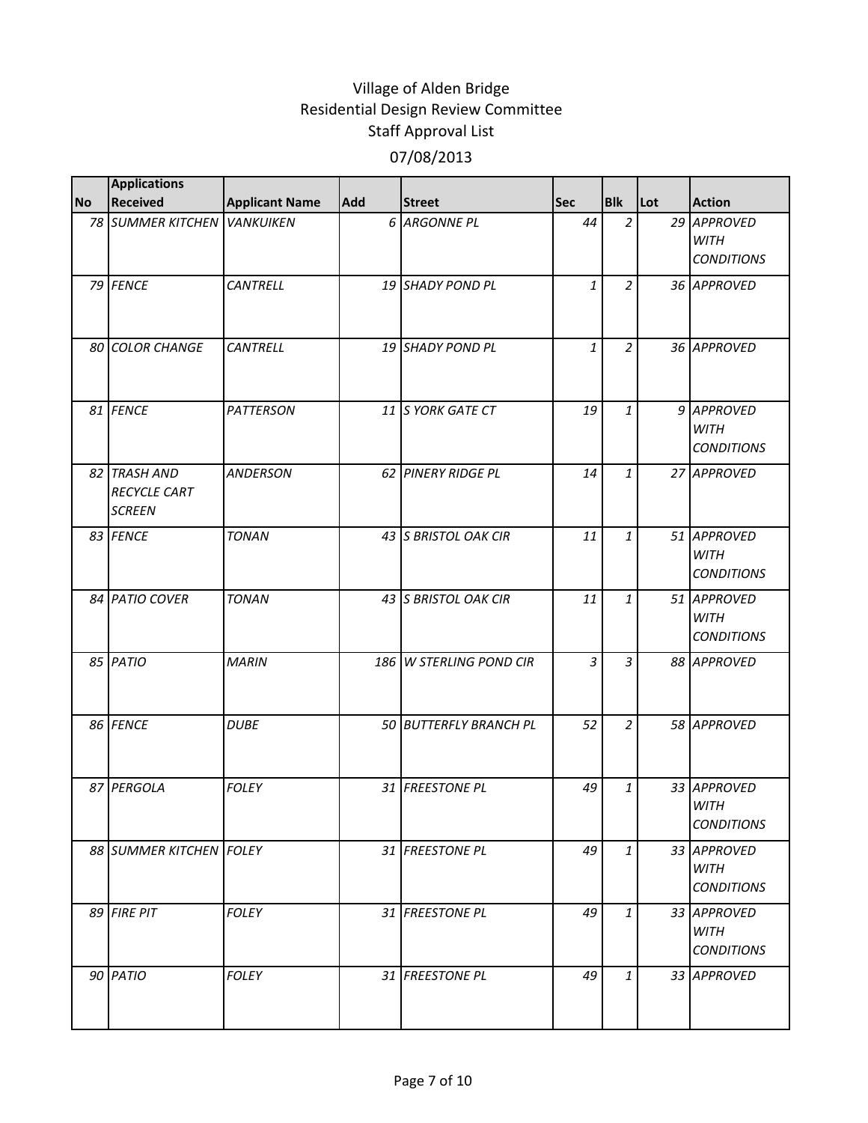|           | <b>Applications</b>                                  |                       |     |                         |            |                |     |                                                 |
|-----------|------------------------------------------------------|-----------------------|-----|-------------------------|------------|----------------|-----|-------------------------------------------------|
| <b>No</b> | <b>Received</b>                                      | <b>Applicant Name</b> | Add | <b>Street</b>           | <b>Sec</b> | <b>Blk</b>     | Lot | <b>Action</b>                                   |
|           | 78 SUMMER KITCHEN VANKUIKEN                          |                       |     | 6 ARGONNE PL            | 44         | $\overline{a}$ |     | 29 APPROVED<br><b>WITH</b><br><b>CONDITIONS</b> |
|           | 79 FENCE                                             | <b>CANTRELL</b>       |     | 19 SHADY POND PL        | 1          | $\overline{2}$ |     | 36 APPROVED                                     |
|           | 80 COLOR CHANGE                                      | <b>CANTRELL</b>       |     | 19 SHADY POND PL        | 1          | $\overline{2}$ |     | 36 APPROVED                                     |
|           | 81 FENCE                                             | <b>PATTERSON</b>      |     | 11 S YORK GATE CT       | 19         | $\mathbf{1}$   |     | 9 APPROVED<br><b>WITH</b><br><b>CONDITIONS</b>  |
|           | 82 TRASH AND<br><b>RECYCLE CART</b><br><b>SCREEN</b> | <b>ANDERSON</b>       |     | 62 PINERY RIDGE PL      | 14         | $\mathbf{1}$   |     | 27 APPROVED                                     |
|           | 83 FENCE                                             | <b>TONAN</b>          |     | 43 S BRISTOL OAK CIR    | 11         | $\mathbf{1}$   |     | 51 APPROVED<br><b>WITH</b><br><b>CONDITIONS</b> |
|           | 84 PATIO COVER                                       | <b>TONAN</b>          |     | 43 S BRISTOL OAK CIR    | 11         | 1              |     | 51 APPROVED<br><b>WITH</b><br><b>CONDITIONS</b> |
|           | 85 PATIO                                             | <b>MARIN</b>          |     | 186 W STERLING POND CIR | 3          | $\overline{3}$ |     | 88 APPROVED                                     |
|           | 86 FENCE                                             | <b>DUBE</b>           |     | 50 BUTTERFLY BRANCH PL  | 52         | $\overline{2}$ |     | 58 APPROVED                                     |
|           | 87 PERGOLA                                           | <b>FOLEY</b>          |     | 31 FREESTONE PL         | 49         | $\mathbf{1}$   |     | 33 APPROVED<br><b>WITH</b><br><b>CONDITIONS</b> |
|           | 88 SUMMER KITCHEN FOLEY                              |                       |     | 31 FREESTONE PL         | 49         | $\mathbf{1}$   |     | 33 APPROVED<br><b>WITH</b><br><b>CONDITIONS</b> |
|           | 89 FIRE PIT                                          | <b>FOLEY</b>          |     | 31 FREESTONE PL         | 49         | $\mathbf{1}$   |     | 33 APPROVED<br><b>WITH</b><br><b>CONDITIONS</b> |
|           | 90 PATIO                                             | <b>FOLEY</b>          |     | 31 FREESTONE PL         | 49         | $\mathbf{1}$   |     | 33 APPROVED                                     |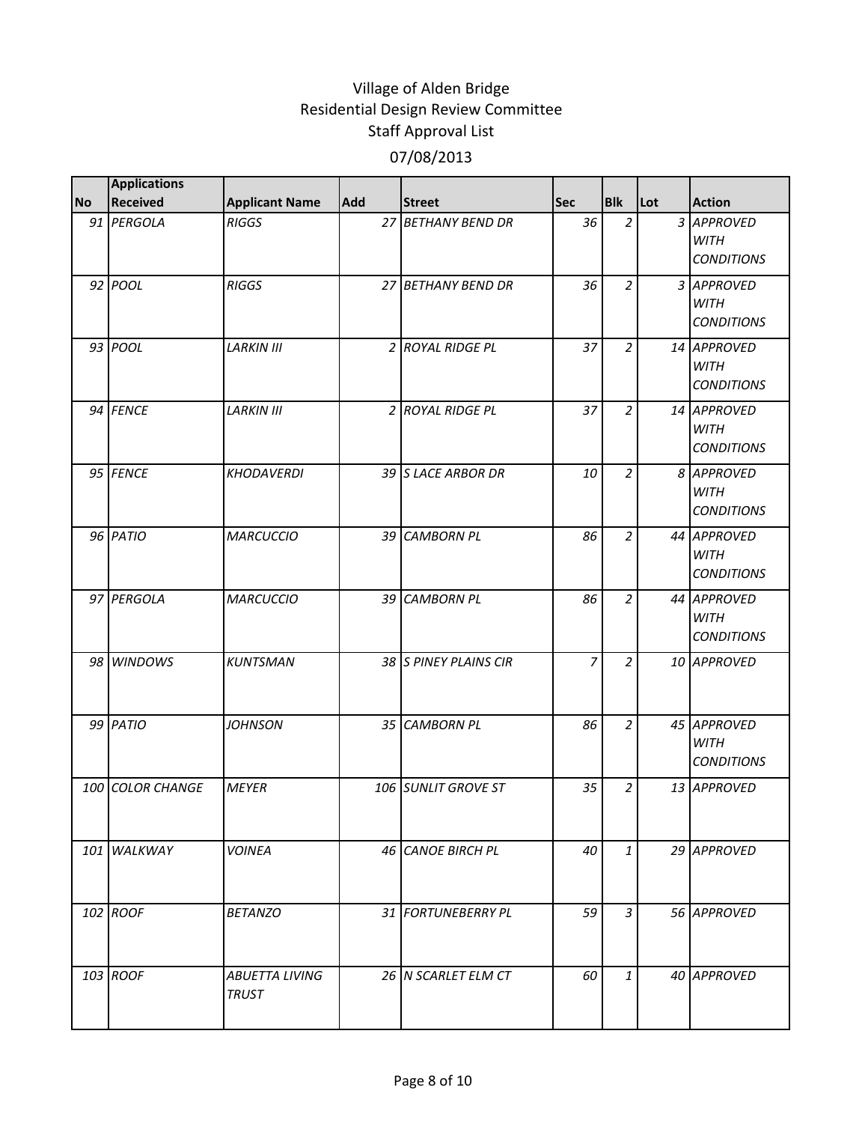|           | <b>Applications</b> |                                       |      |                       |                |                |     |                                                 |
|-----------|---------------------|---------------------------------------|------|-----------------------|----------------|----------------|-----|-------------------------------------------------|
| <b>No</b> | Received            | <b>Applicant Name</b>                 | Add  | <b>Street</b>         | <b>Sec</b>     | <b>Blk</b>     | Lot | <b>Action</b>                                   |
|           | 91 PERGOLA          | <b>RIGGS</b>                          |      | 27 BETHANY BEND DR    | 36             | $\overline{2}$ |     | 3 APPROVED<br><b>WITH</b><br><b>CONDITIONS</b>  |
|           | 92 POOL             | <b>RIGGS</b>                          |      | 27 BETHANY BEND DR    | 36             | $\overline{a}$ |     | 3 APPROVED<br><b>WITH</b><br><b>CONDITIONS</b>  |
|           | 93 POOL             | <b>LARKIN III</b>                     |      | 2 ROYAL RIDGE PL      | 37             | $\overline{2}$ |     | 14 APPROVED<br><b>WITH</b><br><b>CONDITIONS</b> |
|           | 94 FENCE            | <b>LARKIN III</b>                     |      | 2 ROYAL RIDGE PL      | 37             | $\overline{2}$ |     | 14 APPROVED<br><b>WITH</b><br><b>CONDITIONS</b> |
|           | 95 FENCE            | <b>KHODAVERDI</b>                     |      | 39 S LACE ARBOR DR    | 10             | $\overline{a}$ |     | 8 APPROVED<br><b>WITH</b><br><b>CONDITIONS</b>  |
|           | 96 PATIO            | <b>MARCUCCIO</b>                      |      | 39 CAMBORN PL         | 86             | $\overline{a}$ |     | 44 APPROVED<br><b>WITH</b><br><b>CONDITIONS</b> |
|           | 97 PERGOLA          | <b>MARCUCCIO</b>                      | 39 I | <b>CAMBORN PL</b>     | 86             | $\overline{2}$ |     | 44 APPROVED<br><b>WITH</b><br><b>CONDITIONS</b> |
|           | 98 WINDOWS          | <b>KUNTSMAN</b>                       |      | 38 S PINEY PLAINS CIR | $\overline{z}$ | $\overline{a}$ |     | 10 APPROVED                                     |
|           | 99 PATIO            | JOHNSON                               |      | 35 CAMBORN PL         | 86             | $\overline{2}$ |     | 45 APPROVED<br><b>WITH</b><br><b>CONDITIONS</b> |
|           | 100 COLOR CHANGE    | <b>MEYER</b>                          |      | 106 SUNLIT GROVE ST   | 35             | $\overline{a}$ |     | 13 APPROVED                                     |
|           | 101 WALKWAY         | <b>VOINEA</b>                         |      | 46 CANOE BIRCH PL     | 40             | $\mathbf{1}$   |     | 29 APPROVED                                     |
|           | 102 ROOF            | <b>BETANZO</b>                        |      | 31 FORTUNEBERRY PL    | 59             | $\mathfrak{Z}$ |     | 56 APPROVED                                     |
|           | 103 ROOF            | <b>ABUETTA LIVING</b><br><b>TRUST</b> |      | 26 N SCARLET ELM CT   | 60             | $\mathbf{1}$   |     | 40 APPROVED                                     |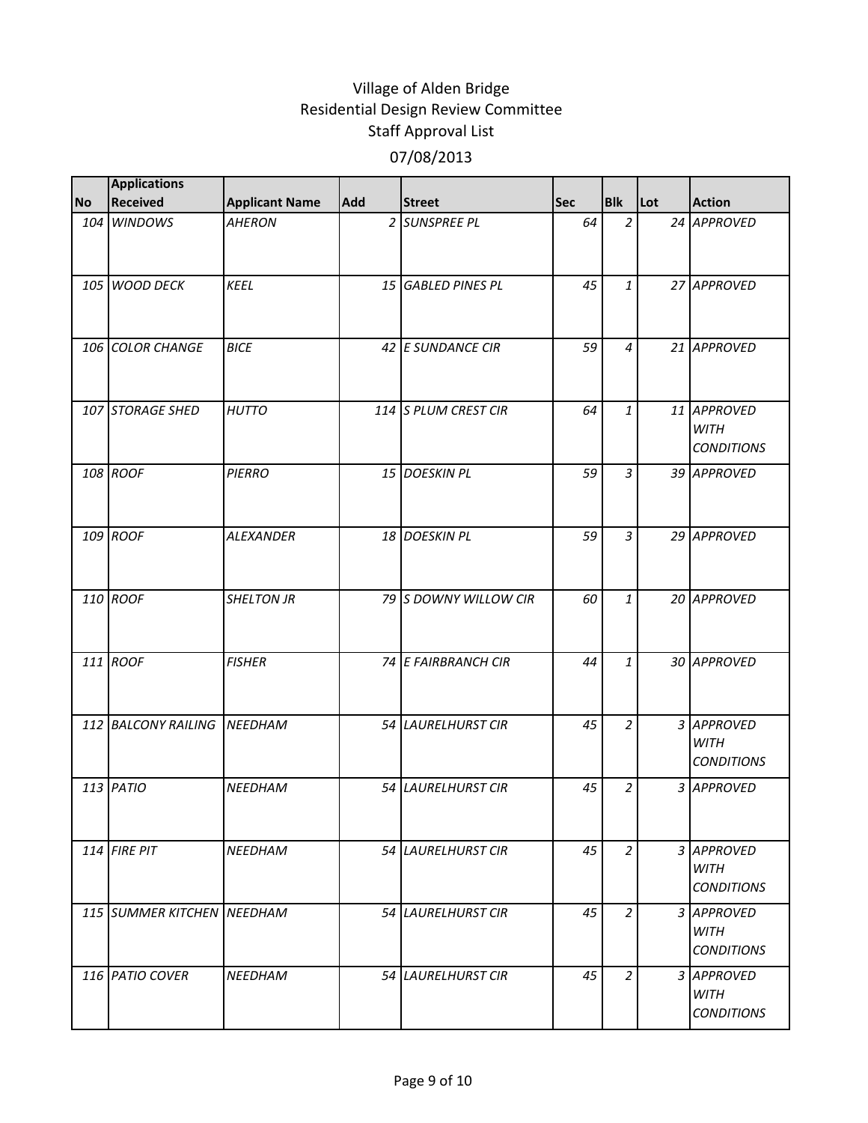| <b>No</b> | <b>Applications</b><br><b>Received</b> |                       | <b>Add</b>      | <b>Street</b>          | <b>Sec</b> | <b>Blk</b>     | Lot | <b>Action</b>                                   |
|-----------|----------------------------------------|-----------------------|-----------------|------------------------|------------|----------------|-----|-------------------------------------------------|
|           | 104 WINDOWS                            | <b>Applicant Name</b> |                 | 2 SUNSPREE PL          | 64         | $\overline{a}$ |     | 24 APPROVED                                     |
|           |                                        | <b>AHERON</b>         |                 |                        |            |                |     |                                                 |
|           | 105 WOOD DECK                          | <b>KEEL</b>           | 15 <sup>1</sup> | <b>GABLED PINES PL</b> | 45         | $\mathbf{1}$   |     | 27 APPROVED                                     |
|           | 106 COLOR CHANGE                       | <b>BICE</b>           |                 | 42 E SUNDANCE CIR      | 59         | $\overline{4}$ |     | 21 APPROVED                                     |
|           | 107 STORAGE SHED                       | <b>HUTTO</b>          |                 | 114 S PLUM CREST CIR   | 64         | $\mathbf{1}$   |     | 11 APPROVED<br><b>WITH</b><br><b>CONDITIONS</b> |
|           | 108 ROOF                               | <b>PIERRO</b>         |                 | 15 DOESKIN PL          | 59         | $\overline{3}$ |     | 39 APPROVED                                     |
|           | 109 ROOF                               | <b>ALEXANDER</b>      |                 | 18 DOESKIN PL          | 59         | 3              |     | 29 APPROVED                                     |
|           | 110 ROOF                               | <b>SHELTON JR</b>     |                 | 79 S DOWNY WILLOW CIR  | 60         | $\mathbf{1}$   |     | 20 APPROVED                                     |
|           | 111 ROOF                               | <b>FISHER</b>         |                 | 74 E FAIRBRANCH CIR    | 44         | $\mathbf{1}$   |     | 30 APPROVED                                     |
|           | 112 BALCONY RAILING                    | <b>NEEDHAM</b>        |                 | 54 LAURELHURST CIR     | 45         | $\overline{2}$ |     | 3 APPROVED<br><b>WITH</b><br><b>CONDITIONS</b>  |
|           | $113$ PATIO                            | <b>NEEDHAM</b>        |                 | 54 LAURELHURST CIR     | 45         | $\overline{a}$ |     | 3 APPROVED                                      |
|           | 114 FIRE PIT                           | <b>NEEDHAM</b>        |                 | 54 LAURELHURST CIR     | 45         | $\overline{a}$ |     | 3 APPROVED<br><b>WITH</b><br><b>CONDITIONS</b>  |
|           | 115 SUMMER KITCHEN NEEDHAM             |                       |                 | 54 LAURELHURST CIR     | 45         | $\overline{2}$ |     | 3 APPROVED<br><b>WITH</b><br><b>CONDITIONS</b>  |
|           | 116 PATIO COVER                        | <b>NEEDHAM</b>        |                 | 54 LAURELHURST CIR     | 45         | $\overline{2}$ |     | 3 APPROVED<br><b>WITH</b><br><b>CONDITIONS</b>  |